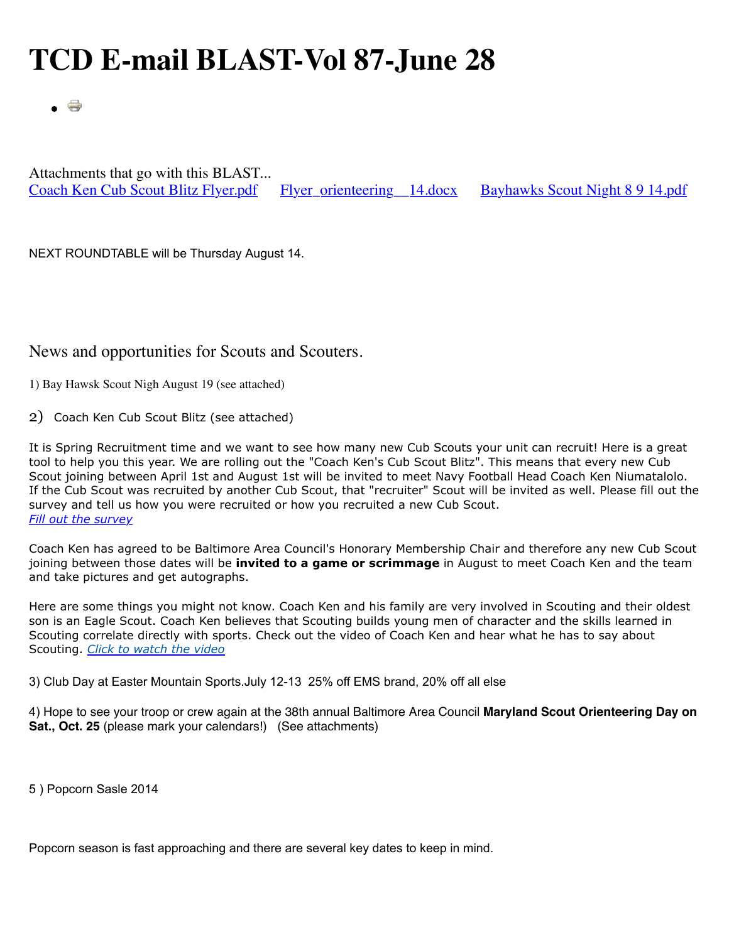## **TCD E-mail BLAST-Vol 87-June 28**

 $\Rightarrow$  $\bullet$ 

Attachments that go with this BLAST... [Coach Ken Cub Scout Blitz Flyer.pdf](http://www.thecapitoldistrict.org/images/The%20BLAST/June_2014/Coach%20Ken%20Cub%20Scout%20Blitz%20Flyer.pdf) Flyer\_orienteering 14.docx [Bayhawks Scout Night 8 9 14.pdf](http://www.thecapitoldistrict.org/images/The%20BLAST/June_2014/Bayhawks%20Scout%20Night%208%209%2014.pdf)

NEXT ROUNDTABLE will be Thursday August 14.

## News and opportunities for Scouts and Scouters.

1) Bay Hawsk Scout Nigh August 19 (see attached)

2) Coach Ken Cub Scout Blitz (see attached)

It is Spring Recruitment time and we want to see how many new Cub Scouts your unit can recruit! Here is a great tool to help you this year. We are rolling out the "Coach Ken's Cub Scout Blitz". This means that every new Cub Scout joining between April 1st and August 1st will be invited to meet Navy Football Head Coach Ken Niumatalolo. If the Cub Scout was recruited by another Cub Scout, that "recruiter" Scout will be invited as well. Please fill out the survey and tell us how you were recruited or how you recruited a new Cub Scout. *[Fill out the survey](http://www.baltimorebsa.org/survey/2014-new-cub-scout-invitation-survey/39572)*

Coach Ken has agreed to be Baltimore Area Council's Honorary Membership Chair and therefore any new Cub Scout joining between those dates will be **invited to a game or scrimmage** in August to meet Coach Ken and the team and take pictures and get autographs.

Here are some things you might not know. Coach Ken and his family are very involved in Scouting and their oldest son is an Eagle Scout. Coach Ken believes that Scouting builds young men of character and the skills learned in Scouting correlate directly with sports. Check out the video of Coach Ken and hear what he has to say about Scouting. *[Click to watch the video](http://youtu.be/lubM1pA1xFw)*

3) Club Day at Easter Mountain Sports.July 12-13 25% off EMS brand, 20% off all else

4) Hope to see your troop or crew again at the 38th annual Baltimore Area Council **Maryland Scout Orienteering Day on Sat., Oct. 25** (please mark your calendars!) (See attachments)

5 ) Popcorn Sasle 2014

Popcorn season is fast approaching and there are several key dates to keep in mind.